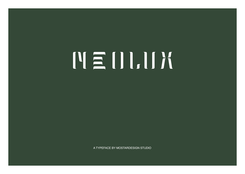# NEULIK

A TYPEFACE BY MOSTARDESIGN STUDIO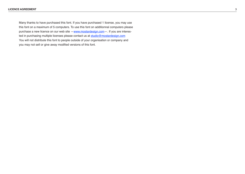Many thanks to have purchased this font. If you have purchased 1 license, you may use this font on a maximum of 5 computers. To use this font on additionnal computers please purchase a new licence on our web site [—www.mostardesign.com—](http://www.mostardesign.com). If you are interested in purchasing multiple licenses please contact us at [studio@mostardesign.com](mailto:studio@mostardesign.com) You will not distribute this font to people outside of your organisation or company and you may not sell or give away modified versions of this font.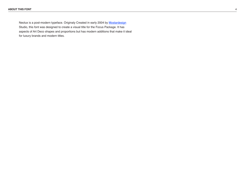Neolux is a post-modern typeface. Originaly Created in early 2004 by [Mostardesign](http://www.mostardesign.com) Studio, this font was designed to create a visual title for the Focus Package. It has aspects of Art Deco shapes and proportions but has modern additions that make it ideal for luxury brands and modern titles.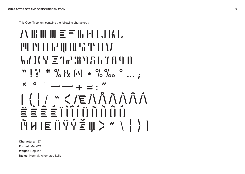This OpenType font contains the following characters :

```
\Lambda B CO B \equiv \equiv C<sub>0</sub> H \parallel , \parallel \parallelMNOPQRSTUV
WXYZ1234567890
 " \cup \" \vdash \# \circ \\{X \} \circ \] \circ \circ \circ \circ \circ\left[\begin{array}{c} \ast & \circ \\ \circ & \circ \end{array}\right] \left[\begin{array}{c} \circ & \bullet \\ \circ & \circ \end{array}\right][\{\}/"\le/EÄÃÃÃÀÀÀ
ËÈÊÉÏÌÎÍÖÕÒÔÓ
\tilde{M}H\to \tilde{B}\tilde{B}\tilde{C}\geq \tilde{C}\geq \tilde{C}\geq \tilde{C}
```
**Characters:** 127 **Format:** Mac/PC **Weight:** Regular **Styles:** Normal / Alternate / Italic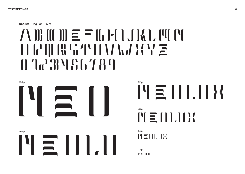**Neolux** - Regular - 55 pt

### ABCDEFGHIJKLMN OPQRSTUVWXYZ 076789



 $M \equiv U U U U$ 48 pt

24 pt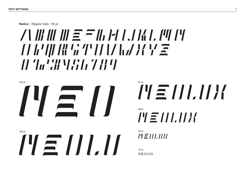**Neolux** - Regular italic - 55 pt

### $A \cup B \cup C \subseteq A \cup A \cup C \cup C$ *OPQRSTUVWXYZ 0123456789*



*NEOLUX* 48 pt

24 pt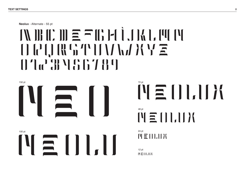**Neolux** - Alternate - 55 pt

## $M$ BCD $\equiv$ FGHIJALM  $\bigcup_{\alpha} \bigcup_{\alpha} \bigcup_{\alpha} \bigcup_{\alpha} \bigcup_{\alpha} \bigcup_{\alpha} \bigcup_{\alpha} \bigcup_{\alpha} \bigcup_{\alpha} \bigcup_{\alpha} \bigcup_{\alpha} \bigcup_{\alpha} \bigcap_{\alpha} \bigcap_{\alpha} \bigcap_{\alpha} \bigcap_{\alpha} \bigcap_{\alpha} \bigcap_{\alpha} \bigcap_{\alpha} \bigcap_{\alpha} \bigcap_{\alpha} \bigcap_{\alpha} \bigcap_{\alpha} \bigcap_{\alpha} \bigcap_{\alpha} \bigcap_{\alpha} \bigcap_{\alpha} \bigcap_{\alpha} \bigcap_{\alpha} \bigcap_{\alpha} \bigcap_{\alpha} \bigcap$ 076789



NEOLUX 48 pt

24 pt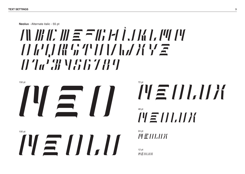**Neolux** - Alternate italic - 55 pt

# *ABCDEFGHIJKLMN OPQRSTUVWXYZ 0123456789*



*NEOLUX* 48 pt

24 pt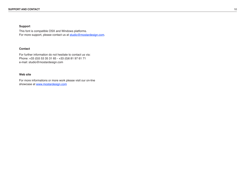#### **Support**

This font is compatible OSX and Windows platforms. For more support, please contact us at [studio@mostardesign.com](mailto:studio@mostardesign.com).

#### **Contact**

For further information do not hesitate to contact us via: Phone: +33 (0)5 53 35 31 65 - +33 (0)6 81 97 61 71 e-mail: studio@mostardesign.com

### **Web site**

For more informations or more work please visit our on-line showcase at [www.mostardesign.com](http://www.mostardesign.com)